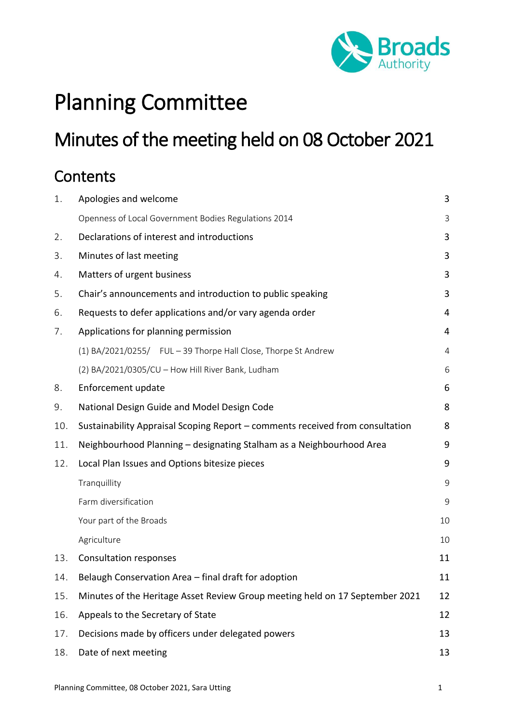

# Planning Committee

# Minutes of the meeting held on 08 October 2021

# **Contents**

| 1.  | Apologies and welcome                                                              | 3              |  |
|-----|------------------------------------------------------------------------------------|----------------|--|
|     | Openness of Local Government Bodies Regulations 2014                               | 3              |  |
| 2.  | Declarations of interest and introductions                                         |                |  |
| 3.  | Minutes of last meeting                                                            |                |  |
| 4.  | Matters of urgent business                                                         |                |  |
| 5.  | Chair's announcements and introduction to public speaking                          |                |  |
| 6.  | Requests to defer applications and/or vary agenda order                            |                |  |
| 7.  | Applications for planning permission                                               | 4              |  |
|     | (1) BA/2021/0255/ FUL - 39 Thorpe Hall Close, Thorpe St Andrew                     | $\overline{4}$ |  |
|     | (2) BA/2021/0305/CU - How Hill River Bank, Ludham                                  | 6              |  |
| 8.  | Enforcement update                                                                 |                |  |
| 9.  | National Design Guide and Model Design Code                                        |                |  |
| 10. | Sustainability Appraisal Scoping Report - comments received from consultation      |                |  |
| 11. | Neighbourhood Planning - designating Stalham as a Neighbourhood Area               | 9              |  |
| 12. | Local Plan Issues and Options bitesize pieces                                      | 9              |  |
|     | Tranquillity                                                                       | $\mathsf 9$    |  |
|     | Farm diversification                                                               | 9              |  |
|     | Your part of the Broads                                                            | 10             |  |
|     | Agriculture                                                                        | 10             |  |
| 13. | <b>Consultation responses</b>                                                      | 11             |  |
| 14. | Belaugh Conservation Area - final draft for adoption                               |                |  |
| 15. | Minutes of the Heritage Asset Review Group meeting held on 17 September 2021<br>12 |                |  |
| 16. | 12<br>Appeals to the Secretary of State                                            |                |  |
| 17. | Decisions made by officers under delegated powers<br>13                            |                |  |
| 18. | Date of next meeting                                                               | 13             |  |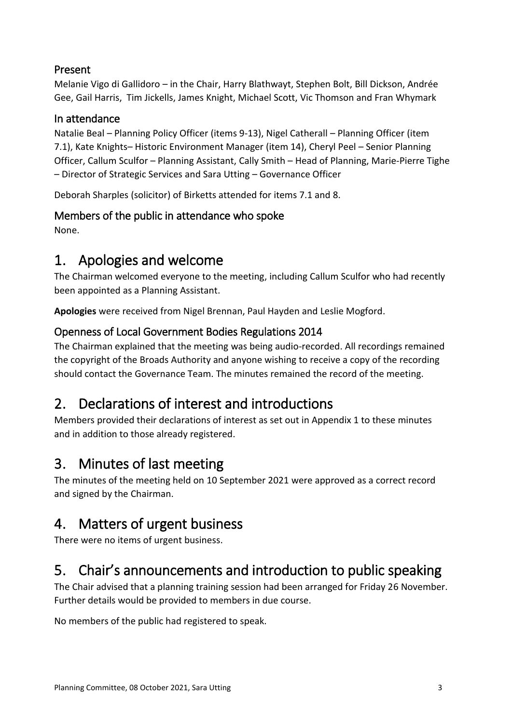#### Present

Melanie Vigo di Gallidoro – in the Chair, Harry Blathwayt, Stephen Bolt, Bill Dickson, Andrée Gee, Gail Harris, Tim Jickells, James Knight, Michael Scott, Vic Thomson and Fran Whymark

#### In attendance

Natalie Beal – Planning Policy Officer (items 9-13), Nigel Catherall – Planning Officer (item 7.1), Kate Knights– Historic Environment Manager (item 14), Cheryl Peel – Senior Planning Officer, Callum Sculfor – Planning Assistant, Cally Smith – Head of Planning, Marie-Pierre Tighe – Director of Strategic Services and Sara Utting – Governance Officer

Deborah Sharples (solicitor) of Birketts attended for items 7.1 and 8.

#### Members of the public in attendance who spoke

None.

### <span id="page-2-0"></span>1. Apologies and welcome

The Chairman welcomed everyone to the meeting, including Callum Sculfor who had recently been appointed as a Planning Assistant.

**Apologies** were received from Nigel Brennan, Paul Hayden and Leslie Mogford.

#### <span id="page-2-1"></span>Openness of Local Government Bodies Regulations 2014

The Chairman explained that the meeting was being audio-recorded. All recordings remained the copyright of the Broads Authority and anyone wishing to receive a copy of the recording should contact the Governance Team. The minutes remained the record of the meeting.

### <span id="page-2-2"></span>2. Declarations of interest and introductions

Members provided their declarations of interest as set out in Appendix 1 to these minutes and in addition to those already registered.

### <span id="page-2-3"></span>3. Minutes of last meeting

The minutes of the meeting held on 10 September 2021 were approved as a correct record and signed by the Chairman.

## <span id="page-2-4"></span>4. Matters of urgent business

There were no items of urgent business.

## <span id="page-2-5"></span>5. Chair's announcements and introduction to public speaking

The Chair advised that a planning training session had been arranged for Friday 26 November. Further details would be provided to members in due course.

No members of the public had registered to speak.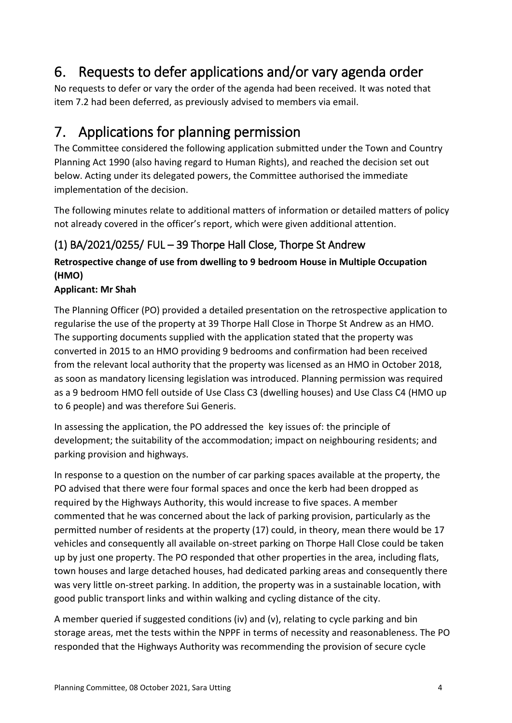## <span id="page-3-0"></span>6. Requests to defer applications and/or vary agenda order

No requests to defer or vary the order of the agenda had been received. It was noted that item 7.2 had been deferred, as previously advised to members via email.

### <span id="page-3-1"></span>7. Applications for planning permission

The Committee considered the following application submitted under the Town and Country Planning Act 1990 (also having regard to Human Rights), and reached the decision set out below. Acting under its delegated powers, the Committee authorised the immediate implementation of the decision.

The following minutes relate to additional matters of information or detailed matters of policy not already covered in the officer's report, which were given additional attention.

### <span id="page-3-2"></span>(1) BA/2021/0255/ FUL – 39 Thorpe Hall Close, Thorpe St Andrew

#### **Retrospective change of use from dwelling to 9 bedroom House in Multiple Occupation (HMO)**

#### **Applicant: Mr Shah**

The Planning Officer (PO) provided a detailed presentation on the retrospective application to regularise the use of the property at 39 Thorpe Hall Close in Thorpe St Andrew as an HMO. The supporting documents supplied with the application stated that the property was converted in 2015 to an HMO providing 9 bedrooms and confirmation had been received from the relevant local authority that the property was licensed as an HMO in October 2018, as soon as mandatory licensing legislation was introduced. Planning permission was required as a 9 bedroom HMO fell outside of Use Class C3 (dwelling houses) and Use Class C4 (HMO up to 6 people) and was therefore Sui Generis.

In assessing the application, the PO addressed the key issues of: the principle of development; the suitability of the accommodation; impact on neighbouring residents; and parking provision and highways.

In response to a question on the number of car parking spaces available at the property, the PO advised that there were four formal spaces and once the kerb had been dropped as required by the Highways Authority, this would increase to five spaces. A member commented that he was concerned about the lack of parking provision, particularly as the permitted number of residents at the property (17) could, in theory, mean there would be 17 vehicles and consequently all available on-street parking on Thorpe Hall Close could be taken up by just one property. The PO responded that other properties in the area, including flats, town houses and large detached houses, had dedicated parking areas and consequently there was very little on-street parking. In addition, the property was in a sustainable location, with good public transport links and within walking and cycling distance of the city.

A member queried if suggested conditions (iv) and (v), relating to cycle parking and bin storage areas, met the tests within the NPPF in terms of necessity and reasonableness. The PO responded that the Highways Authority was recommending the provision of secure cycle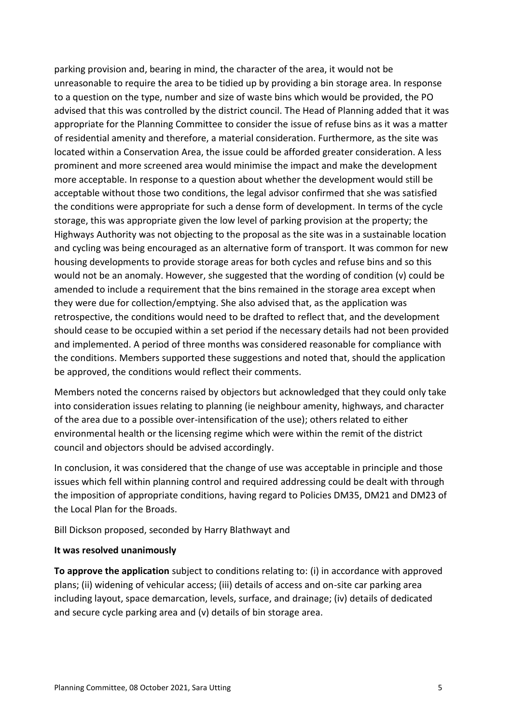parking provision and, bearing in mind, the character of the area, it would not be unreasonable to require the area to be tidied up by providing a bin storage area. In response to a question on the type, number and size of waste bins which would be provided, the PO advised that this was controlled by the district council. The Head of Planning added that it was appropriate for the Planning Committee to consider the issue of refuse bins as it was a matter of residential amenity and therefore, a material consideration. Furthermore, as the site was located within a Conservation Area, the issue could be afforded greater consideration. A less prominent and more screened area would minimise the impact and make the development more acceptable. In response to a question about whether the development would still be acceptable without those two conditions, the legal advisor confirmed that she was satisfied the conditions were appropriate for such a dense form of development. In terms of the cycle storage, this was appropriate given the low level of parking provision at the property; the Highways Authority was not objecting to the proposal as the site was in a sustainable location and cycling was being encouraged as an alternative form of transport. It was common for new housing developments to provide storage areas for both cycles and refuse bins and so this would not be an anomaly. However, she suggested that the wording of condition (v) could be amended to include a requirement that the bins remained in the storage area except when they were due for collection/emptying. She also advised that, as the application was retrospective, the conditions would need to be drafted to reflect that, and the development should cease to be occupied within a set period if the necessary details had not been provided and implemented. A period of three months was considered reasonable for compliance with the conditions. Members supported these suggestions and noted that, should the application be approved, the conditions would reflect their comments.

Members noted the concerns raised by objectors but acknowledged that they could only take into consideration issues relating to planning (ie neighbour amenity, highways, and character of the area due to a possible over-intensification of the use); others related to either environmental health or the licensing regime which were within the remit of the district council and objectors should be advised accordingly.

In conclusion, it was considered that the change of use was acceptable in principle and those issues which fell within planning control and required addressing could be dealt with through the imposition of appropriate conditions, having regard to Policies DM35, DM21 and DM23 of the Local Plan for the Broads.

Bill Dickson proposed, seconded by Harry Blathwayt and

#### **It was resolved unanimously**

**To approve the application** subject to conditions relating to: (i) in accordance with approved plans; (ii) widening of vehicular access; (iii) details of access and on-site car parking area including layout, space demarcation, levels, surface, and drainage; (iv) details of dedicated and secure cycle parking area and (v) details of bin storage area.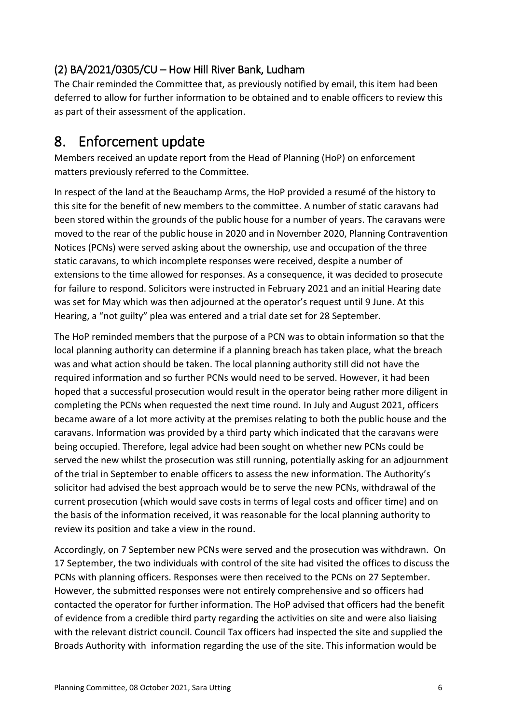#### <span id="page-5-0"></span>(2) BA/2021/0305/CU – How Hill River Bank, Ludham

The Chair reminded the Committee that, as previously notified by email, this item had been deferred to allow for further information to be obtained and to enable officers to review this as part of their assessment of the application.

### <span id="page-5-1"></span>8. Enforcement update

Members received an update report from the Head of Planning (HoP) on enforcement matters previously referred to the Committee.

In respect of the land at the Beauchamp Arms, the HoP provided a resumé of the history to this site for the benefit of new members to the committee. A number of static caravans had been stored within the grounds of the public house for a number of years. The caravans were moved to the rear of the public house in 2020 and in November 2020, Planning Contravention Notices (PCNs) were served asking about the ownership, use and occupation of the three static caravans, to which incomplete responses were received, despite a number of extensions to the time allowed for responses. As a consequence, it was decided to prosecute for failure to respond. Solicitors were instructed in February 2021 and an initial Hearing date was set for May which was then adjourned at the operator's request until 9 June. At this Hearing, a "not guilty" plea was entered and a trial date set for 28 September.

The HoP reminded members that the purpose of a PCN was to obtain information so that the local planning authority can determine if a planning breach has taken place, what the breach was and what action should be taken. The local planning authority still did not have the required information and so further PCNs would need to be served. However, it had been hoped that a successful prosecution would result in the operator being rather more diligent in completing the PCNs when requested the next time round. In July and August 2021, officers became aware of a lot more activity at the premises relating to both the public house and the caravans. Information was provided by a third party which indicated that the caravans were being occupied. Therefore, legal advice had been sought on whether new PCNs could be served the new whilst the prosecution was still running, potentially asking for an adjournment of the trial in September to enable officers to assess the new information. The Authority's solicitor had advised the best approach would be to serve the new PCNs, withdrawal of the current prosecution (which would save costs in terms of legal costs and officer time) and on the basis of the information received, it was reasonable for the local planning authority to review its position and take a view in the round.

Accordingly, on 7 September new PCNs were served and the prosecution was withdrawn. On 17 September, the two individuals with control of the site had visited the offices to discuss the PCNs with planning officers. Responses were then received to the PCNs on 27 September. However, the submitted responses were not entirely comprehensive and so officers had contacted the operator for further information. The HoP advised that officers had the benefit of evidence from a credible third party regarding the activities on site and were also liaising with the relevant district council. Council Tax officers had inspected the site and supplied the Broads Authority with information regarding the use of the site. This information would be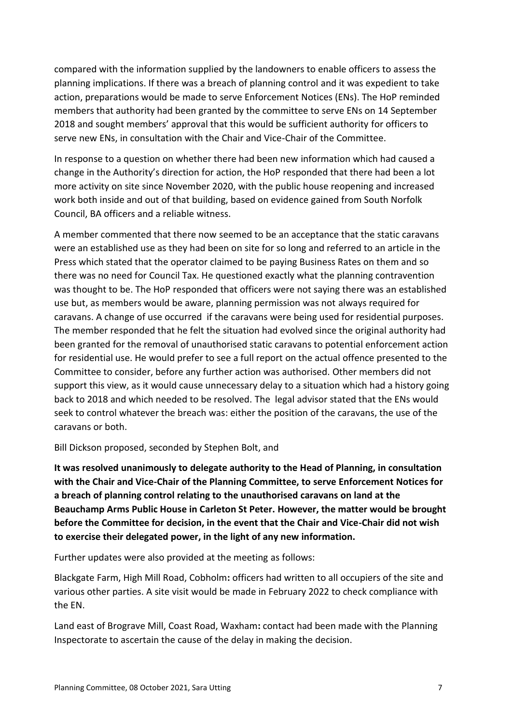compared with the information supplied by the landowners to enable officers to assess the planning implications. If there was a breach of planning control and it was expedient to take action, preparations would be made to serve Enforcement Notices (ENs). The HoP reminded members that authority had been granted by the committee to serve ENs on 14 September 2018 and sought members' approval that this would be sufficient authority for officers to serve new ENs, in consultation with the Chair and Vice-Chair of the Committee.

In response to a question on whether there had been new information which had caused a change in the Authority's direction for action, the HoP responded that there had been a lot more activity on site since November 2020, with the public house reopening and increased work both inside and out of that building, based on evidence gained from South Norfolk Council, BA officers and a reliable witness.

A member commented that there now seemed to be an acceptance that the static caravans were an established use as they had been on site for so long and referred to an article in the Press which stated that the operator claimed to be paying Business Rates on them and so there was no need for Council Tax. He questioned exactly what the planning contravention was thought to be. The HoP responded that officers were not saying there was an established use but, as members would be aware, planning permission was not always required for caravans. A change of use occurred if the caravans were being used for residential purposes. The member responded that he felt the situation had evolved since the original authority had been granted for the removal of unauthorised static caravans to potential enforcement action for residential use. He would prefer to see a full report on the actual offence presented to the Committee to consider, before any further action was authorised. Other members did not support this view, as it would cause unnecessary delay to a situation which had a history going back to 2018 and which needed to be resolved. The legal advisor stated that the ENs would seek to control whatever the breach was: either the position of the caravans, the use of the caravans or both.

Bill Dickson proposed, seconded by Stephen Bolt, and

**It was resolved unanimously to delegate authority to the Head of Planning, in consultation with the Chair and Vice-Chair of the Planning Committee, to serve Enforcement Notices for a breach of planning control relating to the unauthorised caravans on land at the Beauchamp Arms Public House in Carleton St Peter. However, the matter would be brought before the Committee for decision, in the event that the Chair and Vice-Chair did not wish to exercise their delegated power, in the light of any new information.**

Further updates were also provided at the meeting as follows:

Blackgate Farm, High Mill Road, Cobholm**:** officers had written to all occupiers of the site and various other parties. A site visit would be made in February 2022 to check compliance with the EN.

Land east of Brograve Mill, Coast Road, Waxham**:** contact had been made with the Planning Inspectorate to ascertain the cause of the delay in making the decision.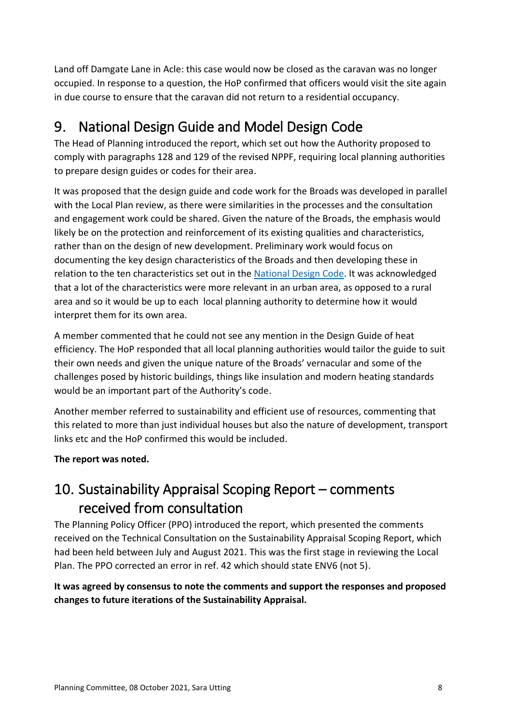Land off Damgate Lane in Acle: this case would now be closed as the caravan was no longer occupied. In response to a question, the HoP confirmed that officers would visit the site again in due course to ensure that the caravan did not return to a residential occupancy.

# <span id="page-7-0"></span>9. National Design Guide and Model Design Code

The Head of Planning introduced the report, which set out how the Authority proposed to comply with paragraphs 128 and 129 of the revised NPPF, requiring local planning authorities to prepare design guides or codes for their area.

It was proposed that the design guide and code work for the Broads was developed in parallel with the Local Plan review, as there were similarities in the processes and the consultation and engagement work could be shared. Given the nature of the Broads, the emphasis would likely be on the protection and reinforcement of its existing qualities and characteristics, rather than on the design of new development. Preliminary work would focus on documenting the key design characteristics of the Broads and then developing these in relation to the ten characteristics set out in the [National Design Code.](https://www.gov.uk/government/publications/national-model-design-code) It was acknowledged that a lot of the characteristics were more relevant in an urban area, as opposed to a rural area and so it would be up to each local planning authority to determine how it would interpret them for its own area.

A member commented that he could not see any mention in the Design Guide of heat efficiency. The HoP responded that all local planning authorities would tailor the guide to suit their own needs and given the unique nature of the Broads' vernacular and some of the challenges posed by historic buildings, things like insulation and modern heating standards would be an important part of the Authority's code.

Another member referred to sustainability and efficient use of resources, commenting that this related to more than just individual houses but also the nature of development, transport links etc and the HoP confirmed this would be included.

**The report was noted.**

# <span id="page-7-1"></span>10. Sustainability Appraisal Scoping Report – comments received from consultation

The Planning Policy Officer (PPO) introduced the report, which presented the comments received on the Technical Consultation on the Sustainability Appraisal Scoping Report, which had been held between July and August 2021. This was the first stage in reviewing the Local Plan. The PPO corrected an error in ref. 42 which should state ENV6 (not 5).

#### **It was agreed by consensus to note the comments and support the responses and proposed changes to future iterations of the Sustainability Appraisal.**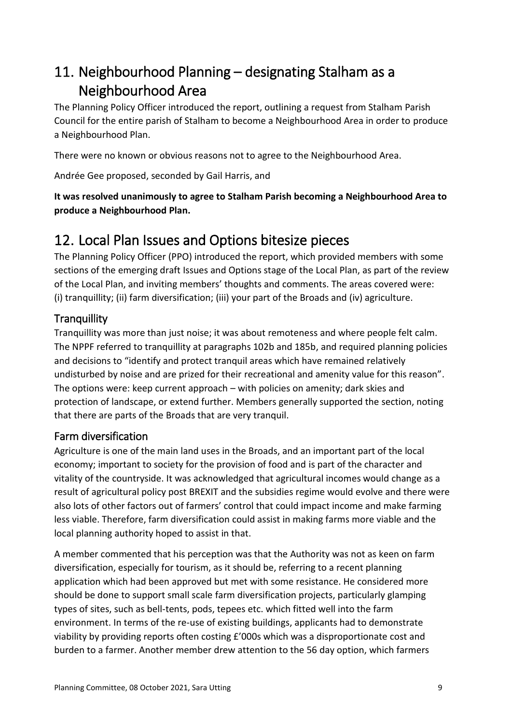# <span id="page-8-0"></span>11. Neighbourhood Planning – designating Stalham as a Neighbourhood Area

The Planning Policy Officer introduced the report, outlining a request from Stalham Parish Council for the entire parish of Stalham to become a Neighbourhood Area in order to produce a Neighbourhood Plan.

There were no known or obvious reasons not to agree to the Neighbourhood Area.

Andrée Gee proposed, seconded by Gail Harris, and

**It was resolved unanimously to agree to Stalham Parish becoming a Neighbourhood Area to produce a Neighbourhood Plan.**

### <span id="page-8-1"></span>12. Local Plan Issues and Options bitesize pieces

The Planning Policy Officer (PPO) introduced the report, which provided members with some sections of the emerging draft Issues and Options stage of the Local Plan, as part of the review of the Local Plan, and inviting members' thoughts and comments. The areas covered were: (i) tranquillity; (ii) farm diversification; (iii) your part of the Broads and (iv) agriculture.

#### <span id="page-8-2"></span>**Tranquillity**

Tranquillity was more than just noise; it was about remoteness and where people felt calm. The NPPF referred to tranquillity at paragraphs 102b and 185b, and required planning policies and decisions to "identify and protect tranquil areas which have remained relatively undisturbed by noise and are prized for their recreational and amenity value for this reason". The options were: keep current approach – with policies on amenity; dark skies and protection of landscape, or extend further. Members generally supported the section, noting that there are parts of the Broads that are very tranquil.

#### <span id="page-8-3"></span>Farm diversification

Agriculture is one of the main land uses in the Broads, and an important part of the local economy; important to society for the provision of food and is part of the character and vitality of the countryside. It was acknowledged that agricultural incomes would change as a result of agricultural policy post BREXIT and the subsidies regime would evolve and there were also lots of other factors out of farmers' control that could impact income and make farming less viable. Therefore, farm diversification could assist in making farms more viable and the local planning authority hoped to assist in that.

A member commented that his perception was that the Authority was not as keen on farm diversification, especially for tourism, as it should be, referring to a recent planning application which had been approved but met with some resistance. He considered more should be done to support small scale farm diversification projects, particularly glamping types of sites, such as bell-tents, pods, tepees etc. which fitted well into the farm environment. In terms of the re-use of existing buildings, applicants had to demonstrate viability by providing reports often costing £'000s which was a disproportionate cost and burden to a farmer. Another member drew attention to the 56 day option, which farmers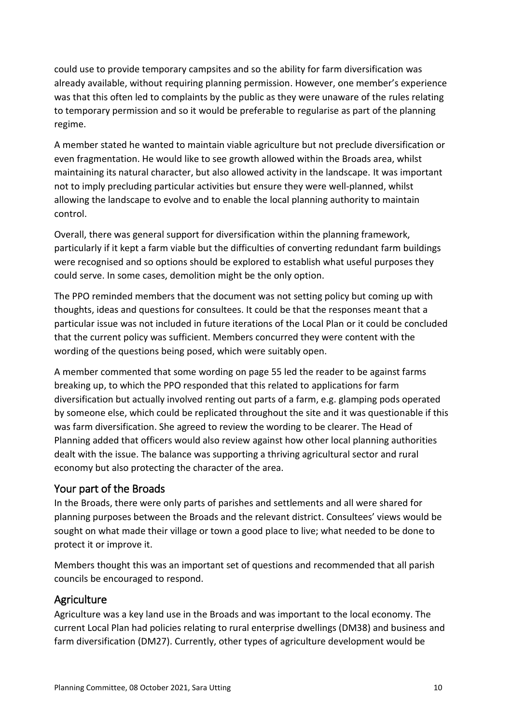could use to provide temporary campsites and so the ability for farm diversification was already available, without requiring planning permission. However, one member's experience was that this often led to complaints by the public as they were unaware of the rules relating to temporary permission and so it would be preferable to regularise as part of the planning regime.

A member stated he wanted to maintain viable agriculture but not preclude diversification or even fragmentation. He would like to see growth allowed within the Broads area, whilst maintaining its natural character, but also allowed activity in the landscape. It was important not to imply precluding particular activities but ensure they were well-planned, whilst allowing the landscape to evolve and to enable the local planning authority to maintain control.

Overall, there was general support for diversification within the planning framework, particularly if it kept a farm viable but the difficulties of converting redundant farm buildings were recognised and so options should be explored to establish what useful purposes they could serve. In some cases, demolition might be the only option.

The PPO reminded members that the document was not setting policy but coming up with thoughts, ideas and questions for consultees. It could be that the responses meant that a particular issue was not included in future iterations of the Local Plan or it could be concluded that the current policy was sufficient. Members concurred they were content with the wording of the questions being posed, which were suitably open.

A member commented that some wording on page 55 led the reader to be against farms breaking up, to which the PPO responded that this related to applications for farm diversification but actually involved renting out parts of a farm, e.g. glamping pods operated by someone else, which could be replicated throughout the site and it was questionable if this was farm diversification. She agreed to review the wording to be clearer. The Head of Planning added that officers would also review against how other local planning authorities dealt with the issue. The balance was supporting a thriving agricultural sector and rural economy but also protecting the character of the area.

#### <span id="page-9-0"></span>Your part of the Broads

In the Broads, there were only parts of parishes and settlements and all were shared for planning purposes between the Broads and the relevant district. Consultees' views would be sought on what made their village or town a good place to live; what needed to be done to protect it or improve it.

Members thought this was an important set of questions and recommended that all parish councils be encouraged to respond.

#### <span id="page-9-1"></span>**Agriculture**

Agriculture was a key land use in the Broads and was important to the local economy. The current Local Plan had policies relating to rural enterprise dwellings (DM38) and business and farm diversification (DM27). Currently, other types of agriculture development would be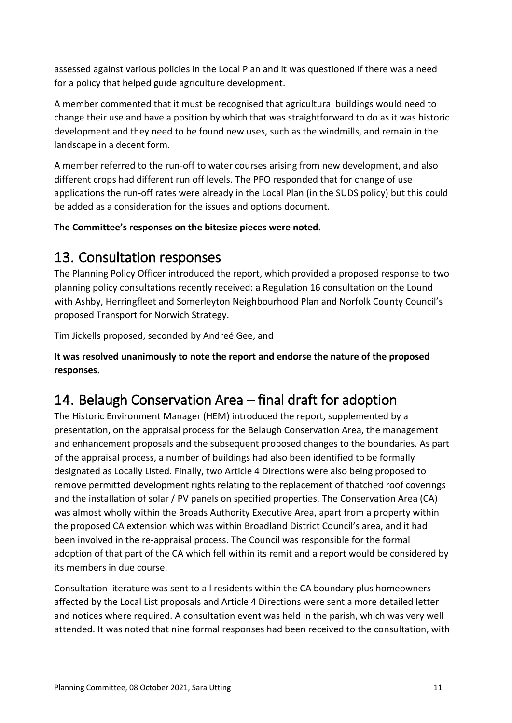assessed against various policies in the Local Plan and it was questioned if there was a need for a policy that helped guide agriculture development.

A member commented that it must be recognised that agricultural buildings would need to change their use and have a position by which that was straightforward to do as it was historic development and they need to be found new uses, such as the windmills, and remain in the landscape in a decent form.

A member referred to the run-off to water courses arising from new development, and also different crops had different run off levels. The PPO responded that for change of use applications the run-off rates were already in the Local Plan (in the SUDS policy) but this could be added as a consideration for the issues and options document.

**The Committee's responses on the bitesize pieces were noted.**

### <span id="page-10-0"></span>13. Consultation responses

The Planning Policy Officer introduced the report, which provided a proposed response to two planning policy consultations recently received: a Regulation 16 consultation on the Lound with Ashby, Herringfleet and Somerleyton Neighbourhood Plan and Norfolk County Council's proposed Transport for Norwich Strategy.

Tim Jickells proposed, seconded by Andreé Gee, and

**It was resolved unanimously to note the report and endorse the nature of the proposed responses.**

## <span id="page-10-1"></span>14. Belaugh Conservation Area – final draft for adoption

The Historic Environment Manager (HEM) introduced the report, supplemented by a presentation, on the appraisal process for the Belaugh Conservation Area, the management and enhancement proposals and the subsequent proposed changes to the boundaries. As part of the appraisal process, a number of buildings had also been identified to be formally designated as Locally Listed. Finally, two Article 4 Directions were also being proposed to remove permitted development rights relating to the replacement of thatched roof coverings and the installation of solar / PV panels on specified properties. The Conservation Area (CA) was almost wholly within the Broads Authority Executive Area, apart from a property within the proposed CA extension which was within Broadland District Council's area, and it had been involved in the re-appraisal process. The Council was responsible for the formal adoption of that part of the CA which fell within its remit and a report would be considered by its members in due course.

Consultation literature was sent to all residents within the CA boundary plus homeowners affected by the Local List proposals and Article 4 Directions were sent a more detailed letter and notices where required. A consultation event was held in the parish, which was very well attended. It was noted that nine formal responses had been received to the consultation, with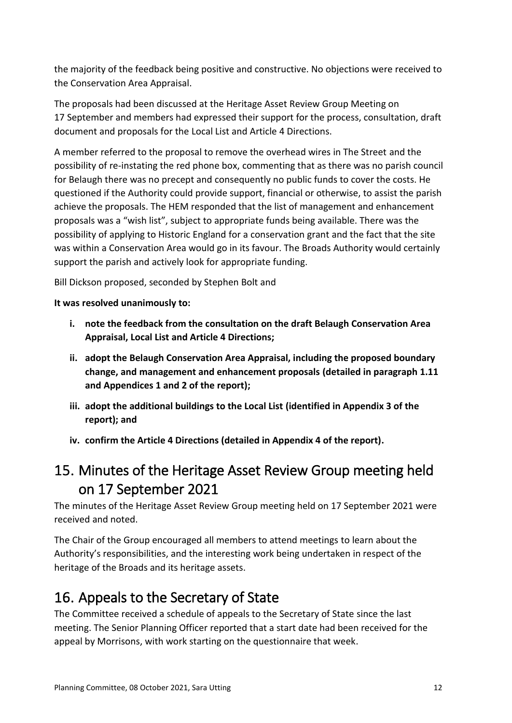the majority of the feedback being positive and constructive. No objections were received to the Conservation Area Appraisal.

The proposals had been discussed at the Heritage Asset Review Group Meeting on 17 September and members had expressed their support for the process, consultation, draft document and proposals for the Local List and Article 4 Directions.

A member referred to the proposal to remove the overhead wires in The Street and the possibility of re-instating the red phone box, commenting that as there was no parish council for Belaugh there was no precept and consequently no public funds to cover the costs. He questioned if the Authority could provide support, financial or otherwise, to assist the parish achieve the proposals. The HEM responded that the list of management and enhancement proposals was a "wish list", subject to appropriate funds being available. There was the possibility of applying to Historic England for a conservation grant and the fact that the site was within a Conservation Area would go in its favour. The Broads Authority would certainly support the parish and actively look for appropriate funding.

Bill Dickson proposed, seconded by Stephen Bolt and

#### **It was resolved unanimously to:**

- **i. note the feedback from the consultation on the draft Belaugh Conservation Area Appraisal, Local List and Article 4 Directions;**
- **ii. adopt the Belaugh Conservation Area Appraisal, including the proposed boundary change, and management and enhancement proposals (detailed in paragraph 1.11 and Appendices 1 and 2 of the report);**
- **iii. adopt the additional buildings to the Local List (identified in Appendix 3 of the report); and**
- **iv. confirm the Article 4 Directions (detailed in Appendix 4 of the report).**

## <span id="page-11-0"></span>15. Minutes of the Heritage Asset Review Group meeting held on 17 September 2021

The minutes of the Heritage Asset Review Group meeting held on 17 September 2021 were received and noted.

The Chair of the Group encouraged all members to attend meetings to learn about the Authority's responsibilities, and the interesting work being undertaken in respect of the heritage of the Broads and its heritage assets.

## <span id="page-11-1"></span>16. Appeals to the Secretary of State

The Committee received a schedule of appeals to the Secretary of State since the last meeting. The Senior Planning Officer reported that a start date had been received for the appeal by Morrisons, with work starting on the questionnaire that week.